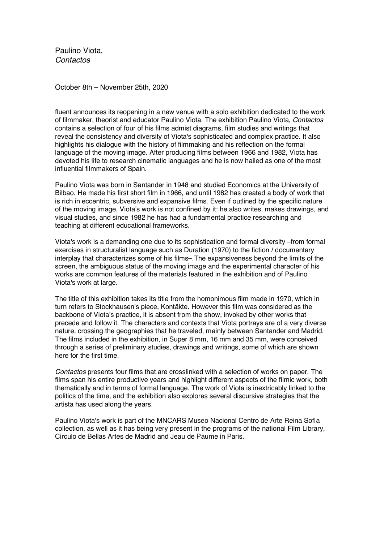Paulino Viota, *Contactos*

October 8th – November 25th, 2020

fluent announces its reopening in a new venue with a solo exhibition dedicated to the work of filmmaker, theorist and educator Paulino Viota. The exhibition Paulino Viota, *Contactos* contains a selection of four of his films admist diagrams, film studies and writings that reveal the consistency and diversity of Viota's sophisticated and complex practice. It also highlights his dialogue with the history of filmmaking and his reflection on the formal language of the moving image. After producing films between 1966 and 1982, Viota has devoted his life to research cinematic languages and he is now hailed as one of the most influential filmmakers of Spain.

Paulino Viota was born in Santander in 1948 and studied Economics at the University of Bilbao. He made his first short film in 1966, and until 1982 has created a body of work that is rich in eccentric, subversive and expansive films. Even if outlined by the specific nature of the moving image, Viota's work is not confined by it: he also writes, makes drawings, and visual studies, and since 1982 he has had a fundamental practice researching and teaching at different educational frameworks.

Viota's work is a demanding one due to its sophistication and formal diversity –from formal exercises in structuralist language such as Duration (1970) to the fiction / documentary interplay that characterizes some of his films–.The expansiveness beyond the limits of the screen, the ambiguous status of the moving image and the experimental character of his works are common features of the materials featured in the exhibition and of Paulino Viota's work at large.

The title of this exhibition takes its title from the homonimous film made in 1970, which in turn refers to Stockhausen's piece, Kontäkte. However this film was considered as the backbone of Viota's practice, it is absent from the show, invoked by other works that precede and follow it. The characters and contexts that Viota portrays are of a very diverse nature, crossing the geographies that he traveled, mainly between Santander and Madrid. The films included in the exhibition, in Super 8 mm, 16 mm and 35 mm, were conceived through a series of preliminary studies, drawings and writings, some of which are shown here for the first time.

*Contactos* presents four films that are crosslinked with a selection of works on paper. The films span his entire productive years and highlight different aspects of the filmic work, both thematically and in terms of formal language. The work of Viota is inextricably linked to the politics of the time, and the exhibition also explores several discursive strategies that the artista has used along the years.

Paulino Viota's work is part of the MNCARS Museo Nacional Centro de Arte Reina Sofía collection, as well as it has being very present in the programs of the national Film Library, Circulo de Bellas Artes de Madrid and Jeau de Paume in Paris.